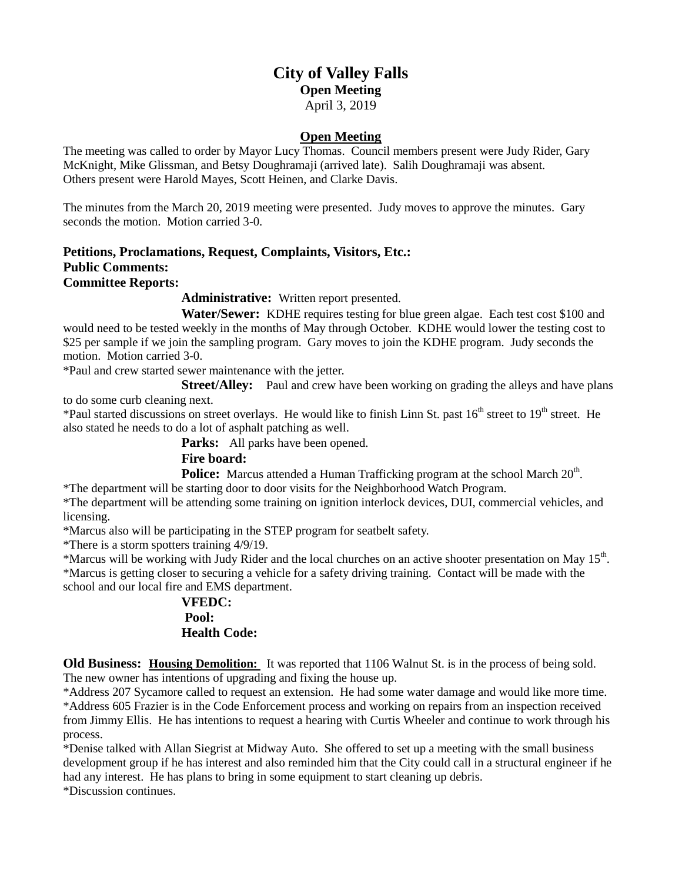# **City of Valley Falls Open Meeting** April 3, 2019

#### **Open Meeting**

The meeting was called to order by Mayor Lucy Thomas. Council members present were Judy Rider, Gary McKnight, Mike Glissman, and Betsy Doughramaji (arrived late). Salih Doughramaji was absent. Others present were Harold Mayes, Scott Heinen, and Clarke Davis.

The minutes from the March 20, 2019 meeting were presented. Judy moves to approve the minutes. Gary seconds the motion. Motion carried 3-0.

### **Petitions, Proclamations, Request, Complaints, Visitors, Etc.: Public Comments: Committee Reports:**

**Administrative:** Written report presented.

**Water/Sewer:** KDHE requires testing for blue green algae. Each test cost \$100 and would need to be tested weekly in the months of May through October. KDHE would lower the testing cost to \$25 per sample if we join the sampling program. Gary moves to join the KDHE program. Judy seconds the motion. Motion carried 3-0.

\*Paul and crew started sewer maintenance with the jetter.

**Street/Alley:** Paul and crew have been working on grading the alleys and have plans to do some curb cleaning next.

\*Paul started discussions on street overlays. He would like to finish Linn St. past  $16<sup>th</sup>$  street to  $19<sup>th</sup>$  street. He also stated he needs to do a lot of asphalt patching as well.

**Parks:** All parks have been opened.

## **Fire board:**

Police: Marcus attended a Human Trafficking program at the school March 20<sup>th</sup>.

\*The department will be starting door to door visits for the Neighborhood Watch Program.

\*The department will be attending some training on ignition interlock devices, DUI, commercial vehicles, and licensing.

\*Marcus also will be participating in the STEP program for seatbelt safety.

\*There is a storm spotters training 4/9/19.

\*Marcus will be working with Judy Rider and the local churches on an active shooter presentation on May 15<sup>th</sup>.

\*Marcus is getting closer to securing a vehicle for a safety driving training. Contact will be made with the school and our local fire and EMS department.

## **VFEDC: Pool: Health Code:**

**Old Business: Housing Demolition:** It was reported that 1106 Walnut St. is in the process of being sold. The new owner has intentions of upgrading and fixing the house up.

\*Address 207 Sycamore called to request an extension. He had some water damage and would like more time. \*Address 605 Frazier is in the Code Enforcement process and working on repairs from an inspection received from Jimmy Ellis. He has intentions to request a hearing with Curtis Wheeler and continue to work through his process.

\*Denise talked with Allan Siegrist at Midway Auto. She offered to set up a meeting with the small business development group if he has interest and also reminded him that the City could call in a structural engineer if he had any interest. He has plans to bring in some equipment to start cleaning up debris.

\*Discussion continues.